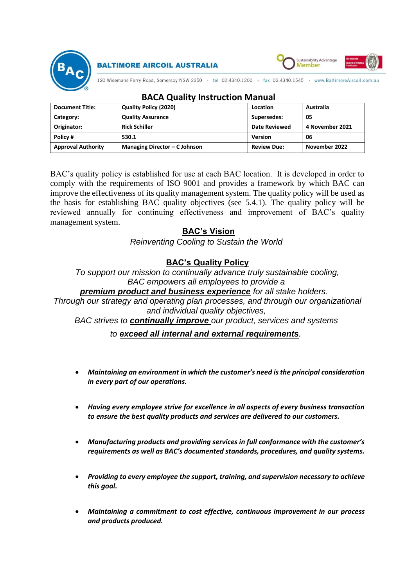

**BALTIMORE AIRCOIL AUSTRALIA** 



120 Wisemans Ferry Road, Somersby NSW 2250 > tel 02.4340.1200 > fax 02.4340.1545 > www.BaltimoreAircoil.com.au

| <b>Document Title:</b>    | <b>Quality Policy (2020)</b>  | Location           | Australia       |
|---------------------------|-------------------------------|--------------------|-----------------|
| Category:                 | <b>Quality Assurance</b>      | Supersedes:        | 05              |
| Originator:               | <b>Rick Schiller</b>          | Date Reviewed      | 4 November 2021 |
| Policy#                   | 530.1                         | Version            | 06              |
| <b>Approval Authority</b> | Managing Director – C Johnson | <b>Review Due:</b> | November 2022   |

### **BACA Quality Instruction Manual**

BAC's quality policy is established for use at each BAC location. It is developed in order to comply with the requirements of ISO 9001 and provides a framework by which BAC can improve the effectiveness of its quality management system. The quality policy will be used as the basis for establishing BAC quality objectives (see 5.4.1). The quality policy will be reviewed annually for continuing effectiveness and improvement of BAC's quality management system.

# **BAC's Vision**

*Reinventing Cooling to Sustain the World*

## **BAC's Quality Policy**

*To support our mission to continually advance truly sustainable cooling, BAC empowers all employees to provide a*

#### *premium product and business experience for all stake holders.*

*Through our strategy and operating plan processes, and through our organizational and individual quality objectives,*

*BAC strives to continually improve our product, services and systems*

### *to exceed all internal and external requirements.*

- *Maintaining an environment in which the customer's need is the principal consideration in every part of our operations.*
- *Having every employee strive for excellence in all aspects of every business transaction to ensure the best quality products and services are delivered to our customers.*
- *Manufacturing products and providing services in full conformance with the customer's requirements as well as BAC's documented standards, procedures, and quality systems.*
- *Providing to every employee the support, training, and supervision necessary to achieve this goal.*
- *Maintaining a commitment to cost effective, continuous improvement in our process and products produced.*